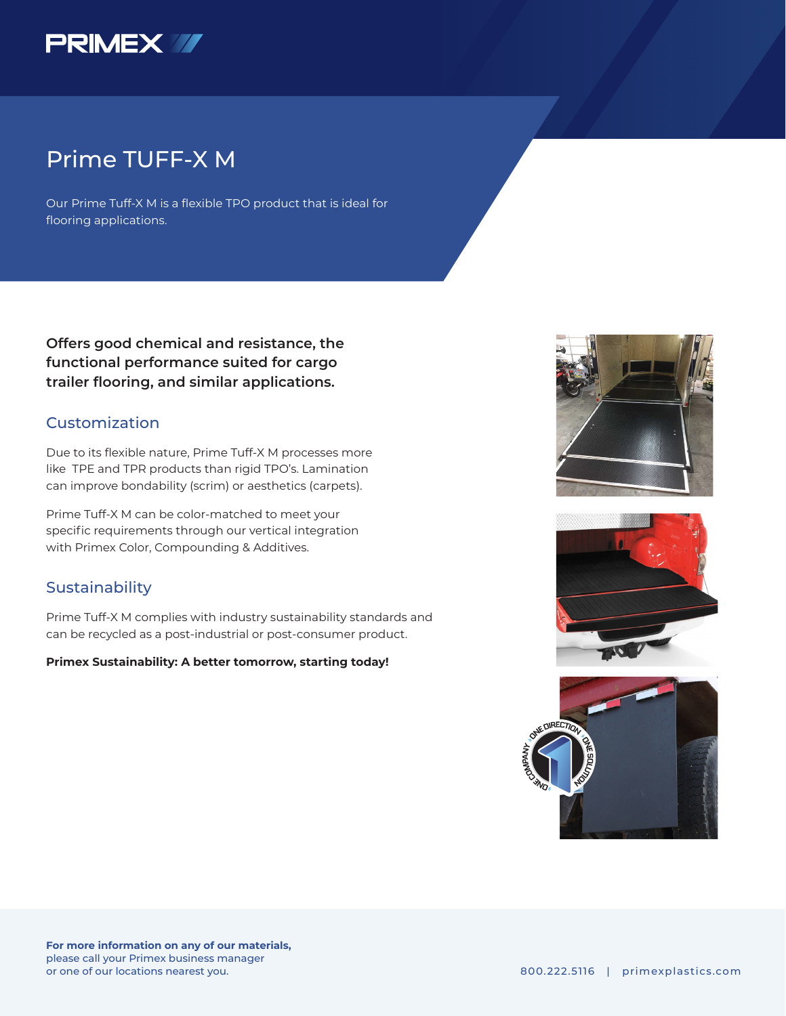

## Prime TUFF-X M

Our Prime Tuff-X M is a flexible TPO product that is ideal for flooring applications.

**Offers good chemical and resistance, the functional performance suited for cargo trailer flooring, and similar applications.** 

### Customization

Due to its flexible nature, Prime Tuff-X M processes more like TPE and TPR products than rigid TPO's. Lamination can improve bondability (scrim) or aesthetics (carpets).

Prime Tuff-X M can be color-matched to meet your specific requirements through our vertical integration with Primex Color, Compounding & Additives.

### **Sustainability**

Prime Tuff-X M complies with industry sustainability standards and can be recycled as a post-industrial or post-consumer product.

#### **Primex Sustainability: A better tomorrow, starting today!**